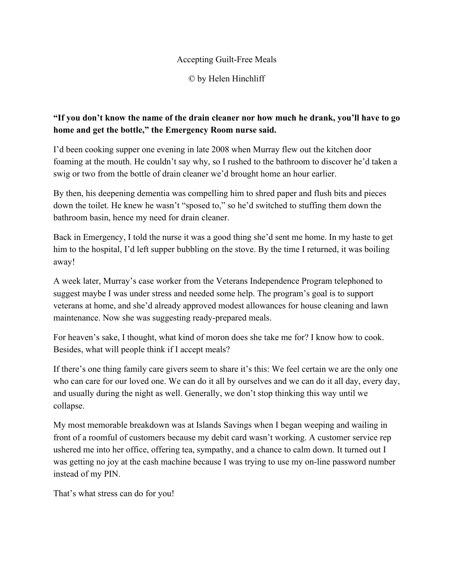## Accepting Guilt-Free Meals

© by Helen Hinchliff

## **"If you don't know the name of the drain cleaner nor how much he drank, you'll have to go home and get the bottle," the Emergency Room nurse said.**

I'd been cooking supper one evening in late 2008 when Murray flew out the kitchen door foaming at the mouth. He couldn't say why, so I rushed to the bathroom to discover he'd taken a swig or two from the bottle of drain cleaner we'd brought home an hour earlier.

By then, his deepening dementia was compelling him to shred paper and flush bits and pieces down the toilet. He knew he wasn't "sposed to," so he'd switched to stuffing them down the bathroom basin, hence my need for drain cleaner.

Back in Emergency, I told the nurse it was a good thing she'd sent me home. In my haste to get him to the hospital, I'd left supper bubbling on the stove. By the time I returned, it was boiling away!

A week later, Murray's case worker from the Veterans Independence Program telephoned to suggest maybe I was under stress and needed some help. The program's goal is to support veterans at home, and she'd already approved modest allowances for house cleaning and lawn maintenance. Now she was suggesting ready-prepared meals.

For heaven's sake, I thought, what kind of moron does she take me for? I know how to cook. Besides, what will people think if I accept meals?

If there's one thing family care givers seem to share it's this: We feel certain we are the only one who can care for our loved one. We can do it all by ourselves and we can do it all day, every day, and usually during the night as well. Generally, we don't stop thinking this way until we collapse.

My most memorable breakdown was at Islands Savings when I began weeping and wailing in front of a roomful of customers because my debit card wasn't working. A customer service rep ushered me into her office, offering tea, sympathy, and a chance to calm down. It turned out I was getting no joy at the cash machine because I was trying to use my on-line password number instead of my PIN.

That's what stress can do for you!